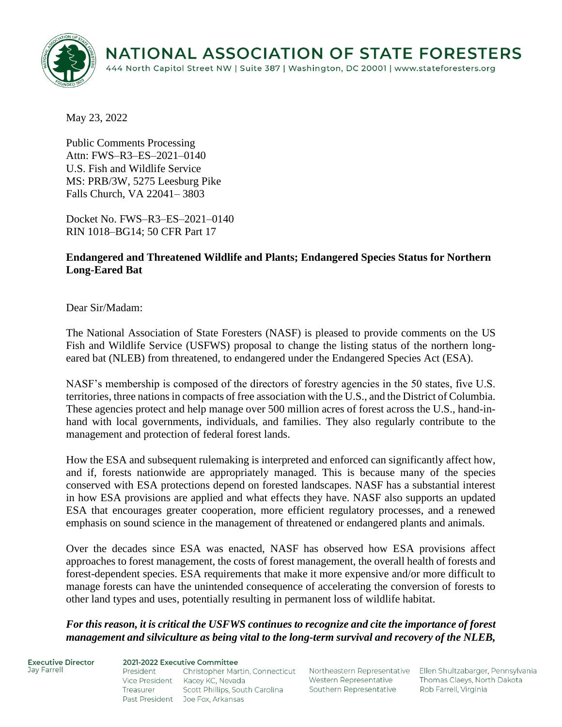

May 23, 2022

Public Comments Processing Attn: FWS–R3–ES–2021–0140 U.S. Fish and Wildlife Service MS: PRB/3W, 5275 Leesburg Pike Falls Church, VA 22041– 3803

Docket No. FWS–R3–ES–2021–0140 RIN 1018–BG14; 50 CFR Part 17

## **Endangered and Threatened Wildlife and Plants; Endangered Species Status for Northern Long-Eared Bat**

Dear Sir/Madam:

The National Association of State Foresters (NASF) is pleased to provide comments on the US Fish and Wildlife Service (USFWS) proposal to change the listing status of the northern longeared bat (NLEB) from threatened, to endangered under the Endangered Species Act (ESA).

NASF's membership is composed of the directors of forestry agencies in the 50 states, five U.S. territories, three nations in compacts of free association with the U.S., and the District of Columbia. These agencies protect and help manage over 500 million acres of forest across the U.S., hand-inhand with local governments, individuals, and families. They also regularly contribute to the management and protection of federal forest lands.

How the ESA and subsequent rulemaking is interpreted and enforced can significantly affect how, and if, forests nationwide are appropriately managed. This is because many of the species conserved with ESA protections depend on forested landscapes. NASF has a substantial interest in how ESA provisions are applied and what effects they have. NASF also supports an updated ESA that encourages greater cooperation, more efficient regulatory processes, and a renewed emphasis on sound science in the management of threatened or endangered plants and animals.

Over the decades since ESA was enacted, NASF has observed how ESA provisions affect approaches to forest management, the costs of forest management, the overall health of forests and forest-dependent species. ESA requirements that make it more expensive and/or more difficult to manage forests can have the unintended consequence of accelerating the conversion of forests to other land types and uses, potentially resulting in permanent loss of wildlife habitat.

*For this reason, it is critical the USFWS continues to recognize and cite the importance of forest management and silviculture as being vital to the long-term survival and recovery of the NLEB,* 

**Executive Director** Jav Farrell

2021-2022 Executive Committee President Christopher Martin, Connecticut Northeastern Representative Ellen Shultzabarger, Pennsylvania Vice President Kacey KC, Nevada Treasurer Scott Phillips, South Carolina

Past President Joe Fox, Arkansas

Western Representative Southern Representative

Thomas Claeys, North Dakota Rob Farrell, Virginia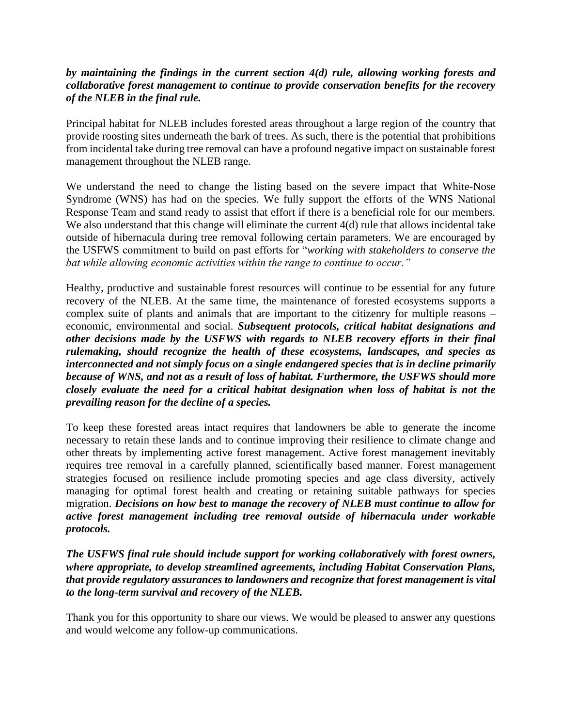## *by maintaining the findings in the current section 4(d) rule, allowing working forests and collaborative forest management to continue to provide conservation benefits for the recovery of the NLEB in the final rule.*

Principal habitat for NLEB includes forested areas throughout a large region of the country that provide roosting sites underneath the bark of trees. As such, there is the potential that prohibitions from incidental take during tree removal can have a profound negative impact on sustainable forest management throughout the NLEB range.

We understand the need to change the listing based on the severe impact that White-Nose Syndrome (WNS) has had on the species. We fully support the efforts of the WNS National Response Team and stand ready to assist that effort if there is a beneficial role for our members. We also understand that this change will eliminate the current 4(d) rule that allows incidental take outside of hibernacula during tree removal following certain parameters. We are encouraged by the USFWS commitment to build on past efforts for "*working with stakeholders to conserve the bat while allowing economic activities within the range to continue to occur."*

Healthy, productive and sustainable forest resources will continue to be essential for any future recovery of the NLEB. At the same time, the maintenance of forested ecosystems supports a complex suite of plants and animals that are important to the citizenry for multiple reasons – economic, environmental and social. *Subsequent protocols, critical habitat designations and other decisions made by the USFWS with regards to NLEB recovery efforts in their final rulemaking, should recognize the health of these ecosystems, landscapes, and species as interconnected and not simply focus on a single endangered species that is in decline primarily because of WNS, and not as a result of loss of habitat. Furthermore, the USFWS should more closely evaluate the need for a critical habitat designation when loss of habitat is not the prevailing reason for the decline of a species.*

To keep these forested areas intact requires that landowners be able to generate the income necessary to retain these lands and to continue improving their resilience to climate change and other threats by implementing active forest management. Active forest management inevitably requires tree removal in a carefully planned, scientifically based manner. Forest management strategies focused on resilience include promoting species and age class diversity, actively managing for optimal forest health and creating or retaining suitable pathways for species migration. *Decisions on how best to manage the recovery of NLEB must continue to allow for active forest management including tree removal outside of hibernacula under workable protocols.*

*The USFWS final rule should include support for working collaboratively with forest owners, where appropriate, to develop streamlined agreements, including Habitat Conservation Plans, that provide regulatory assurances to landowners and recognize that forest management is vital to the long-term survival and recovery of the NLEB.*

Thank you for this opportunity to share our views. We would be pleased to answer any questions and would welcome any follow-up communications.